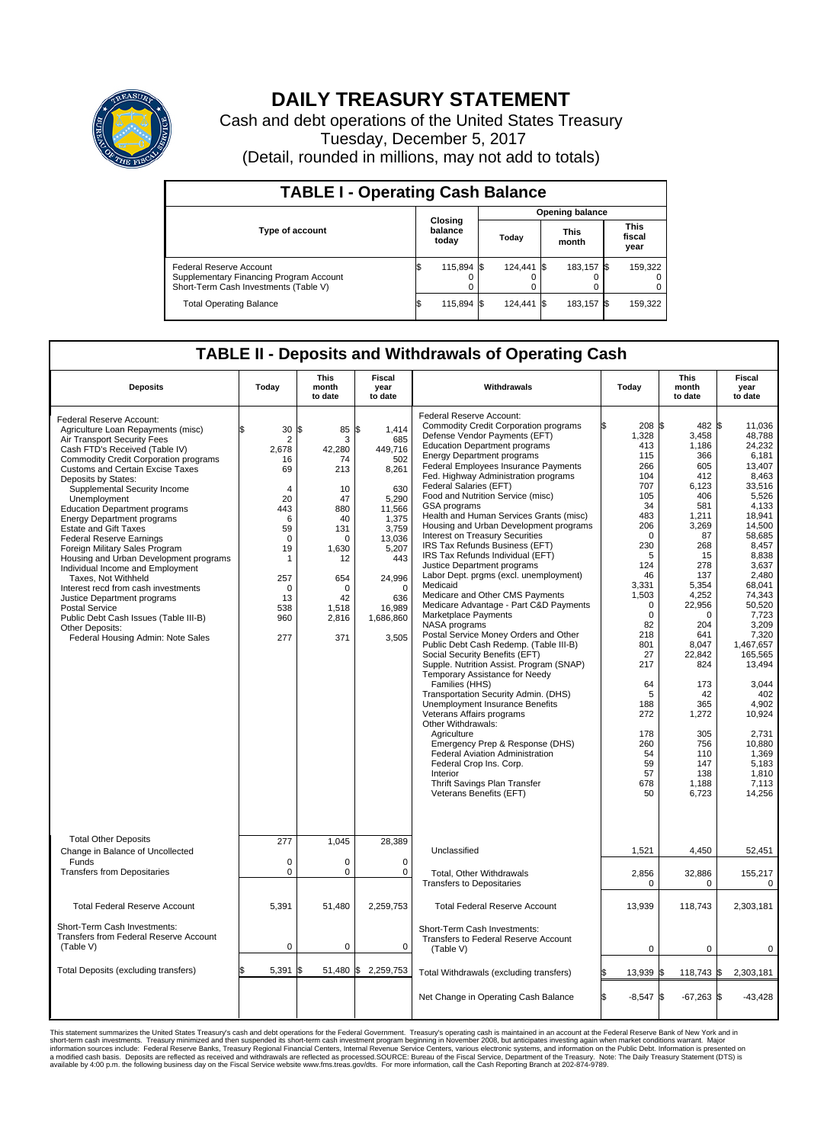

## **DAILY TREASURY STATEMENT**

Cash and debt operations of the United States Treasury Tuesday, December 5, 2017 (Detail, rounded in millions, may not add to totals)

| <b>TABLE I - Operating Cash Balance</b>                                                                     |  |                             |  |                        |  |                      |  |                               |  |  |  |
|-------------------------------------------------------------------------------------------------------------|--|-----------------------------|--|------------------------|--|----------------------|--|-------------------------------|--|--|--|
|                                                                                                             |  |                             |  | <b>Opening balance</b> |  |                      |  |                               |  |  |  |
| <b>Type of account</b>                                                                                      |  | Closing<br>balance<br>today |  | Today                  |  | <b>This</b><br>month |  | <b>This</b><br>fiscal<br>year |  |  |  |
| Federal Reserve Account<br>Supplementary Financing Program Account<br>Short-Term Cash Investments (Table V) |  | 115,894 \$                  |  | 124,441 \$             |  | 183.157 \$           |  | 159,322                       |  |  |  |
| <b>Total Operating Balance</b>                                                                              |  | 115,894 \$                  |  | 124,441 \$             |  | 183,157 \$           |  | 159,322                       |  |  |  |

## **TABLE II - Deposits and Withdrawals of Operating Cash**

| <b>Deposits</b>                                                                                                                                                                                                                                                                                                                                                                                                                                                                                                                                                                                                                                                                                                                                                                   | Today                                                                                                                                                                     | <b>This</b><br>month<br>to date                                                                                                                       | <b>Fiscal</b><br>year<br>to date                                                                                                                                                 | Withdrawals                                                                                                                                                                                                                                                                                                                                                                                                                                                                                                                                                                                                                                                                                                                                                                                                                                                                                                                                                                                                                                                                                                                                                                                                                                                                                                     | Today                                                                                                                                                                                                                                                                  | <b>This</b><br>month<br>to date                                                                                                                                                                                                                                                              | <b>Fiscal</b><br>year<br>to date                                                                                                                                                                                                                                                                                                                    |
|-----------------------------------------------------------------------------------------------------------------------------------------------------------------------------------------------------------------------------------------------------------------------------------------------------------------------------------------------------------------------------------------------------------------------------------------------------------------------------------------------------------------------------------------------------------------------------------------------------------------------------------------------------------------------------------------------------------------------------------------------------------------------------------|---------------------------------------------------------------------------------------------------------------------------------------------------------------------------|-------------------------------------------------------------------------------------------------------------------------------------------------------|----------------------------------------------------------------------------------------------------------------------------------------------------------------------------------|-----------------------------------------------------------------------------------------------------------------------------------------------------------------------------------------------------------------------------------------------------------------------------------------------------------------------------------------------------------------------------------------------------------------------------------------------------------------------------------------------------------------------------------------------------------------------------------------------------------------------------------------------------------------------------------------------------------------------------------------------------------------------------------------------------------------------------------------------------------------------------------------------------------------------------------------------------------------------------------------------------------------------------------------------------------------------------------------------------------------------------------------------------------------------------------------------------------------------------------------------------------------------------------------------------------------|------------------------------------------------------------------------------------------------------------------------------------------------------------------------------------------------------------------------------------------------------------------------|----------------------------------------------------------------------------------------------------------------------------------------------------------------------------------------------------------------------------------------------------------------------------------------------|-----------------------------------------------------------------------------------------------------------------------------------------------------------------------------------------------------------------------------------------------------------------------------------------------------------------------------------------------------|
| Federal Reserve Account:<br>Agriculture Loan Repayments (misc)<br>Air Transport Security Fees<br>Cash FTD's Received (Table IV)<br><b>Commodity Credit Corporation programs</b><br><b>Customs and Certain Excise Taxes</b><br>Deposits by States:<br>Supplemental Security Income<br>Unemployment<br><b>Education Department programs</b><br><b>Energy Department programs</b><br><b>Estate and Gift Taxes</b><br><b>Federal Reserve Earnings</b><br>Foreign Military Sales Program<br>Housing and Urban Development programs<br>Individual Income and Employment<br>Taxes. Not Withheld<br>Interest recd from cash investments<br>Justice Department programs<br>Postal Service<br>Public Debt Cash Issues (Table III-B)<br>Other Deposits:<br>Federal Housing Admin: Note Sales | 30<br>$\overline{2}$<br>2.678<br>16<br>69<br>$\overline{4}$<br>20<br>443<br>6<br>59<br>$\mathbf 0$<br>19<br>$\mathbf{1}$<br>257<br>$\mathbf 0$<br>13<br>538<br>960<br>277 | l\$<br>85<br>3<br>42.280<br>74<br>213<br>10<br>47<br>880<br>40<br>131<br>$\mathbf 0$<br>1,630<br>12<br>654<br>$\Omega$<br>42<br>1,518<br>2,816<br>371 | \$<br>1,414<br>685<br>449.716<br>502<br>8,261<br>630<br>5,290<br>11,566<br>1,375<br>3,759<br>13,036<br>5,207<br>443<br>24,996<br>$\Omega$<br>636<br>16,989<br>1,686,860<br>3,505 | Federal Reserve Account:<br><b>Commodity Credit Corporation programs</b><br>Defense Vendor Payments (EFT)<br><b>Education Department programs</b><br><b>Energy Department programs</b><br>Federal Employees Insurance Payments<br>Fed. Highway Administration programs<br>Federal Salaries (EFT)<br>Food and Nutrition Service (misc)<br>GSA programs<br>Health and Human Services Grants (misc)<br>Housing and Urban Development programs<br>Interest on Treasury Securities<br>IRS Tax Refunds Business (EFT)<br>IRS Tax Refunds Individual (EFT)<br>Justice Department programs<br>Labor Dept. prgms (excl. unemployment)<br>Medicaid<br>Medicare and Other CMS Payments<br>Medicare Advantage - Part C&D Payments<br>Marketplace Payments<br>NASA programs<br>Postal Service Money Orders and Other<br>Public Debt Cash Redemp. (Table III-B)<br>Social Security Benefits (EFT)<br>Supple. Nutrition Assist. Program (SNAP)<br>Temporary Assistance for Needy<br>Families (HHS)<br>Transportation Security Admin. (DHS)<br><b>Unemployment Insurance Benefits</b><br>Veterans Affairs programs<br>Other Withdrawals:<br>Agriculture<br>Emergency Prep & Response (DHS)<br>Federal Aviation Administration<br>Federal Crop Ins. Corp.<br>Interior<br>Thrift Savings Plan Transfer<br>Veterans Benefits (EFT) | 208 \$<br>1,328<br>413<br>115<br>266<br>104<br>707<br>105<br>34<br>483<br>206<br>$\Omega$<br>230<br>5<br>124<br>46<br>3,331<br>1,503<br>$\Omega$<br>$\mathbf 0$<br>82<br>218<br>801<br>27<br>217<br>64<br>5<br>188<br>272<br>178<br>260<br>54<br>59<br>57<br>678<br>50 | 482 \$<br>3,458<br>1,186<br>366<br>605<br>412<br>6,123<br>406<br>581<br>1,211<br>3,269<br>87<br>268<br>15<br>278<br>137<br>5,354<br>4,252<br>22,956<br>$\mathbf 0$<br>204<br>641<br>8,047<br>22,842<br>824<br>173<br>42<br>365<br>1,272<br>305<br>756<br>110<br>147<br>138<br>1,188<br>6,723 | 11,036<br>48,788<br>24,232<br>6,181<br>13.407<br>8,463<br>33,516<br>5,526<br>4,133<br>18,941<br>14.500<br>58,685<br>8,457<br>8,838<br>3.637<br>2,480<br>68.041<br>74,343<br>50,520<br>7,723<br>3,209<br>7.320<br>1,467,657<br>165,565<br>13,494<br>3,044<br>402<br>4.902<br>10,924<br>2,731<br>10,880<br>1,369<br>5.183<br>1.810<br>7,113<br>14,256 |
| <b>Total Other Deposits</b><br>Change in Balance of Uncollected<br>Funds<br><b>Transfers from Depositaries</b>                                                                                                                                                                                                                                                                                                                                                                                                                                                                                                                                                                                                                                                                    | 277<br>$\mathbf 0$<br>$\mathbf 0$                                                                                                                                         | 1.045<br>0<br>$\mathbf 0$                                                                                                                             | 28,389<br>0<br>$\mathbf 0$                                                                                                                                                       | Unclassified<br>Total, Other Withdrawals<br><b>Transfers to Depositaries</b>                                                                                                                                                                                                                                                                                                                                                                                                                                                                                                                                                                                                                                                                                                                                                                                                                                                                                                                                                                                                                                                                                                                                                                                                                                    | 1,521<br>2,856<br>0                                                                                                                                                                                                                                                    | 4,450<br>32,886<br>0                                                                                                                                                                                                                                                                         | 52,451<br>155,217<br>0                                                                                                                                                                                                                                                                                                                              |
| <b>Total Federal Reserve Account</b>                                                                                                                                                                                                                                                                                                                                                                                                                                                                                                                                                                                                                                                                                                                                              | 5,391                                                                                                                                                                     | 51,480                                                                                                                                                | 2,259,753                                                                                                                                                                        | <b>Total Federal Reserve Account</b>                                                                                                                                                                                                                                                                                                                                                                                                                                                                                                                                                                                                                                                                                                                                                                                                                                                                                                                                                                                                                                                                                                                                                                                                                                                                            | 13,939                                                                                                                                                                                                                                                                 | 118,743                                                                                                                                                                                                                                                                                      | 2,303,181                                                                                                                                                                                                                                                                                                                                           |
| Short-Term Cash Investments:<br>Transfers from Federal Reserve Account<br>(Table V)                                                                                                                                                                                                                                                                                                                                                                                                                                                                                                                                                                                                                                                                                               | $\pmb{0}$                                                                                                                                                                 | $\mathbf 0$                                                                                                                                           | $\mathbf 0$                                                                                                                                                                      | Short-Term Cash Investments:<br>Transfers to Federal Reserve Account<br>(Table V)                                                                                                                                                                                                                                                                                                                                                                                                                                                                                                                                                                                                                                                                                                                                                                                                                                                                                                                                                                                                                                                                                                                                                                                                                               | $\mathbf 0$                                                                                                                                                                                                                                                            | $\mathbf 0$                                                                                                                                                                                                                                                                                  | $\mathbf 0$                                                                                                                                                                                                                                                                                                                                         |
| Total Deposits (excluding transfers)                                                                                                                                                                                                                                                                                                                                                                                                                                                                                                                                                                                                                                                                                                                                              | 5,391                                                                                                                                                                     | l\$                                                                                                                                                   | 51,480 \$ 2,259,753                                                                                                                                                              | Total Withdrawals (excluding transfers)                                                                                                                                                                                                                                                                                                                                                                                                                                                                                                                                                                                                                                                                                                                                                                                                                                                                                                                                                                                                                                                                                                                                                                                                                                                                         | 13,939 \$                                                                                                                                                                                                                                                              | 118,743 \$                                                                                                                                                                                                                                                                                   | 2,303,181                                                                                                                                                                                                                                                                                                                                           |
|                                                                                                                                                                                                                                                                                                                                                                                                                                                                                                                                                                                                                                                                                                                                                                                   |                                                                                                                                                                           |                                                                                                                                                       |                                                                                                                                                                                  | Net Change in Operating Cash Balance                                                                                                                                                                                                                                                                                                                                                                                                                                                                                                                                                                                                                                                                                                                                                                                                                                                                                                                                                                                                                                                                                                                                                                                                                                                                            | l\$<br>$-8.547$ $\sqrt{\$}$                                                                                                                                                                                                                                            | $-67,263$ \$                                                                                                                                                                                                                                                                                 | $-43.428$                                                                                                                                                                                                                                                                                                                                           |

This statement summarizes the United States Treasury's cash and debt operations for the Federal Government. Treasury soperating in November 2008, but anticiarded in a cocount at the Federal Reserve Bank of New York and in<br>